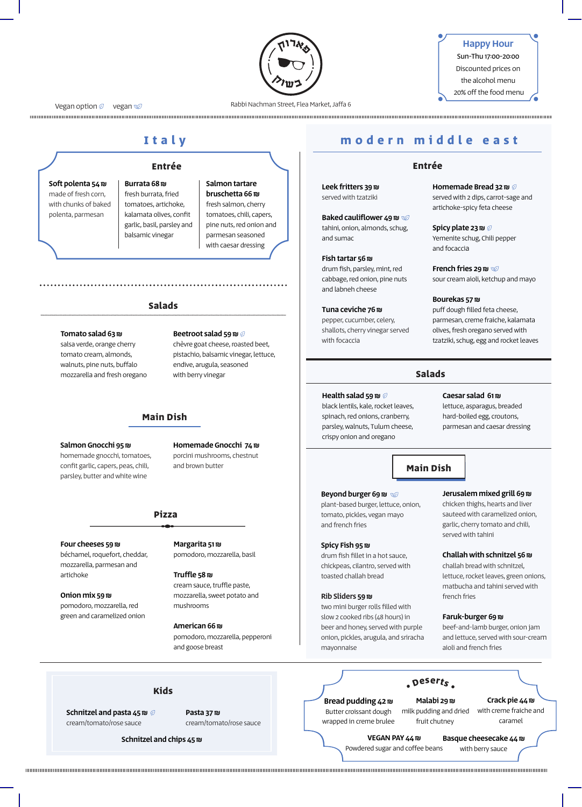

## Happy Hour Sun-Thu 17:00-20:00 Discounted prices on

the alcohol menu 20% off the food menu

Vegan option  $\oslash$  vegan  $\oslash$ 

Rabbi Nachman Street, Flea Market, Jaffa 6

# **Italy**

Soft polenta 54 ₪ made of fresh corn, with chunks of baked polenta, parmesan

Burrata 68 ₪ fresh burrata, fried tomatoes, artichoke, kalamata olives, confit garlic, basil, parsley and balsamic vinegar

#### Salmon tartare bruschetta 66 ₪ fresh salmon, cherry tomatoes, chili, capers, pine nuts, red onion and parmesan seasoned with caesar dressing

#### **Salads**

#### Tomato salad 63 ₪

salsa verde, orange cherry tomato cream, almonds, walnuts, pine nuts, buffalo mozzarella and fresh oregano

## **Main Dish**

#### Salmon Gnocchi 95 ₪

homemade gnocchi, tomatoes, confit garlic, capers, peas, chili, parsley, butter and white wine

Homemade Gnocchi 74 ₪ porcini mushrooms, chestnut and brown butter

Beetroot salad 59 ₪  $\oslash$ chèvre goat cheese, roasted beet, pistachio, balsamic vinegar, lettuce, endive, arugula, seasoned with berry vinegar

## **Pizza**

#### Four cheeses 59 ₪

béchamel, roquefort, cheddar, mozzarella, parmesan and artichoke

Onion mix 59 ₪ pomodoro, mozzarella, red green and caramelized onion Margarita 51 ₪

pomodoro, mozzarella, basil

Truffle 58 ₪ cream sauce, truffle paste, mozzarella, sweet potato and mushrooms

American 66 ₪ pomodoro, mozzarella, pepperoni and goose breast

# **modern middle east**

## **Entrée Entrée**

Leek fritters 39 ₪ served with tzatziki

Baked cauliflower 49 ₪ tahini, onion, almonds, schug, and sumac

Fish tartar 56 ₪ drum fish, parsley, mint, red cabbage, red onion, pine nuts and labneh cheese

#### Tuna ceviche 76 ₪

pepper, cucumber, celery, shallots, cherry vinegar served with focaccia

Homemade Bread 32 ₪ served with 2 dips, carrot-sage and artichoke-spicy feta cheese

Spicy plate 23 ₪ Yemenite schug, Chili pepper and focaccia

French fries 29 ₪ sour cream aioli, ketchup and mayo

#### Bourekas 57 ₪ puff dough filled feta cheese, parmesan, creme fraiche, kalamata olives, fresh oregano served with tzatziki, schug, egg and rocket leaves

## **Salads**

#### Health salad 59 ₪  $\oslash$

black lentils, kale, rocket leaves, spinach, red onions, cranberry, parsley, walnuts, Tulum cheese, crispy onion and oregano

## Caesar salad 61 ₪

lettuce, asparagus, breaded hard-boiled egg, croutons, parmesan and caesar dressing

## **Main Dish**

#### Beyond burger 69 ₪

plant-based burger, lettuce, onion, tomato, pickles, vegan mayo and french fries

#### Spicy Fish 95 ₪

drum fish fillet in a hot sauce, chickpeas, cilantro, served with toasted challah bread

### Rib Sliders 59 ₪

two mini burger rolls filled with slow 2 cooked ribs (48 hours) in beer and honey, served with purple onion, pickles, arugula, and sriracha mayonnaise

## Jerusalem mixed grill 69 ₪

chicken thighs, hearts and liver sauteed with caramelized onion, garlic, cherry tomato and chili, served with tahini

### Challah with schnitzel 56 ₪

challah bread with schnitzel, lettuce, rocket leaves, green onions, matbucha and tahini served with french fries

#### Faruk-burger 69 ₪

beef-and-lamb burger, onion jam and lettuce, served with sour-cream aioli and french fries

#### **Kids**

Schnitzel and pasta 45 ₪ cream/tomato/rose sauce

Pasta 37 ₪ cream/tomato/rose sauce

Schnitzel and chips 45 ₪

Bread pudding 42 ₪ Butter croissant dough wrapped in creme brulee

#### Malabi 29 ₪ milk pudding and dried fruit chutney

Crack pie 44 ₪ with creme fraiche and caramel

Basque cheesecake 44 ₪ with berry sauce VEGAN PAY 44 m Powdered sugar and coffee beans

**• <sup>D</sup>esert<sup>s</sup> •**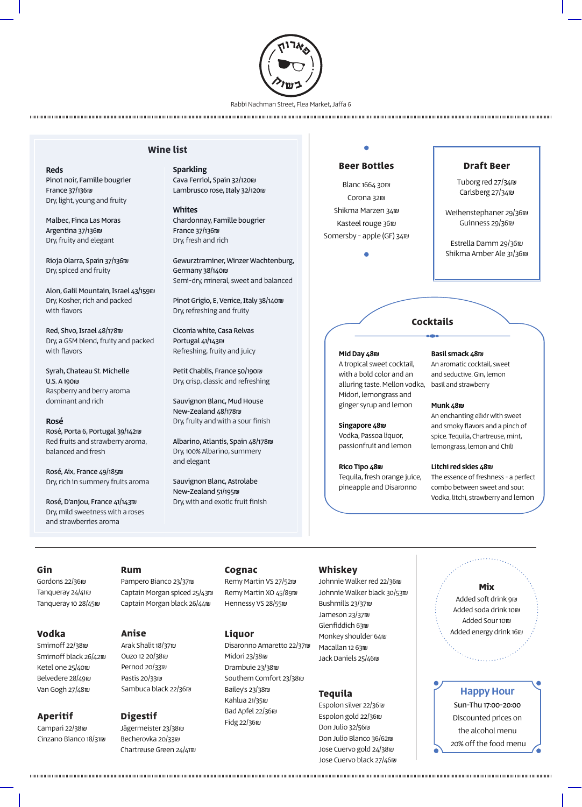

Rabbi Nachman Street, Flea Market, Jaffa 6

## **Wine list**

Sparkling Cava Ferriol, Spain 32/120₪ Lambrusco rose, Italy 32/120₪

Whites Chardonnay, Famille bougrier France 37/136₪ Dry, fresh and rich

Gewurztraminer, Winzer Wachtenburg, Germany 38/140₪ Semi-dry, mineral, sweet and balanced

Pinot Grigio, E, Venice, Italy 38/140₪ Dry, refreshing and fruity

Ciconia white, Casa Relvas Portugal 41/143₪ Refreshing, fruity and juicy

Petit Chablis, France 50/190₪ Dry, crisp, classic and refreshing

Sauvignon Blanc, Mud House New-Zealand 48/178₪ Dry, fruity and with a sour finish

Albarino, Atlantis, Spain 48/178₪ Dry, 100% Albarino, summery and elegant

Sauvignon Blanc, Astrolabe New-Zealand 51/195₪ Dry, with and exotic fruit finish

### **Beer Bottles**

Blanc 1664 30₪ Corona 32₪ Shikma Marzen 34₪ Kasteel rouge 36₪ Somersby - apple (GF) 34₪

#### **Draft Beer**

Tuborg red 27/34₪ Carlsberg 27/34₪

Weihenstephaner 29/36₪ Guinness 29/36₪

Estrella Damm 29/36₪ Shikma Amber Ale 31/36₪

## **Cocktails**

#### Mid Day 48₪

alluring taste. Mellon vodka, basil and strawberry A tropical sweet cocktail, with a bold color and an Midori, lemongrass and ginger syrup and lemon

Singapore 48₪ Vodka, Passoa liquor, passionfruit and lemon

Rico Tipo 48₪ Tequila, fresh orange juice, pineapple and Disaronno

## Basil smack 48₪

An aromatic cocktail, sweet and seductive. Gin, lemon

#### Munk 48₪

An enchanting elixir with sweet and smoky flavors and a pinch of spice. Tequila, Chartreuse, mint, lemongrass, lemon and Chili

#### Litchi red skies 48₪

The essence of freshness - a perfect combo between sweet and sour. Vodka, litchi, strawberry and lemon

#### **Gin**

Reds

France 37/136₪

with flavors

with flavors

U.S. A 190₪

Rosé

Pinot noir, Famille bougrier

Dry, light, young and fruity

Malbec, Finca Las Moras Argentina 37/136₪ Dry, fruity and elegant

Rioja Olarra, Spain 37/136₪ Dry, spiced and fruity

Red, Shvo, Israel 48/178₪

Syrah, Chateau St. Michelle

Raspberry and berry aroma dominant and rich

Rosé, Porta 6, Portugal 39/142₪ Red fruits and strawberry aroma,

balanced and fresh

Rosé, Aix, France 49/185₪ Dry, rich in summery fruits aroma

Rosé, D'anjou, France 41/143₪ Dry, mild sweetness with a roses and strawberries aroma

Alon, Galil Mountain, Israel 43/159₪ Dry, Kosher, rich and packed

Dry, a GSM blend, fruity and packed

Gordons 22/36₪ Tanqueray 24/41₪ Tanqueray 10 28/45₪

#### **Vodka**

Smirnoff 22/38₪ Smirnoff black 26/42₪ Ketel one 25/40₪ Belvedere 28/49₪ Van Gogh 27/48₪

#### **Aperitif**

Campari 22/38₪ Cinzano Bianco 18/31₪

#### **Rum**

Pampero Bianco 23/37₪ Captain Morgan spiced 25/43₪ Captain Morgan black 26/44₪

Arak Shalit 18/37₪ Ouzo 12 20/38₪ Pernod 20/33₪ Pastis 20/33₪ Sambuca black 22/36₪

## **Digestif**

Jägermeister 23/38₪ Becherovka 20/33₪ Chartreuse Green 24/41₪

#### **Cognac**

Remy Martin VS 27/52₪ Remy Martin XO 45/89₪ Hennessy VS 28/55₪

#### **Liquor**

Disaronno Amaretto 22/37₪ Midori 23/38₪ Drambuie 23/38₪ Southern Comfort 23/38₪ Bailey's 23/38₪ Kahlua 21/35₪ Bad Apfel 22/36₪ Fidg 22/36₪

## **Whiskey**

**Anise Liquor Communities Exercise Added energy drink 16m** Johnnie Walker red 22/36₪ Johnnie Walker black 30/53₪ Bushmills 23/37₪ Jameson 23/37₪ Glenfiddich 63₪ Monkey shoulder 64₪ Macallan 12 63₪ Jack Daniels 25/46₪

#### **Tequila**

Espolon silver 22/36₪ Espolon gold 22/36₪ Don Julio 32/56₪ Don Julio Blanco 36/62₪ Jose Cuervo gold 24/38₪ Jose Cuervo black 27/46₪

# **Mix**

Added soft drink 9₪ Added soda drink 10₪ Added Sour 10₪

## Happy Hour

Sun-Thu 17:00-20:00 Discounted prices on the alcohol menu 20% off the food menu